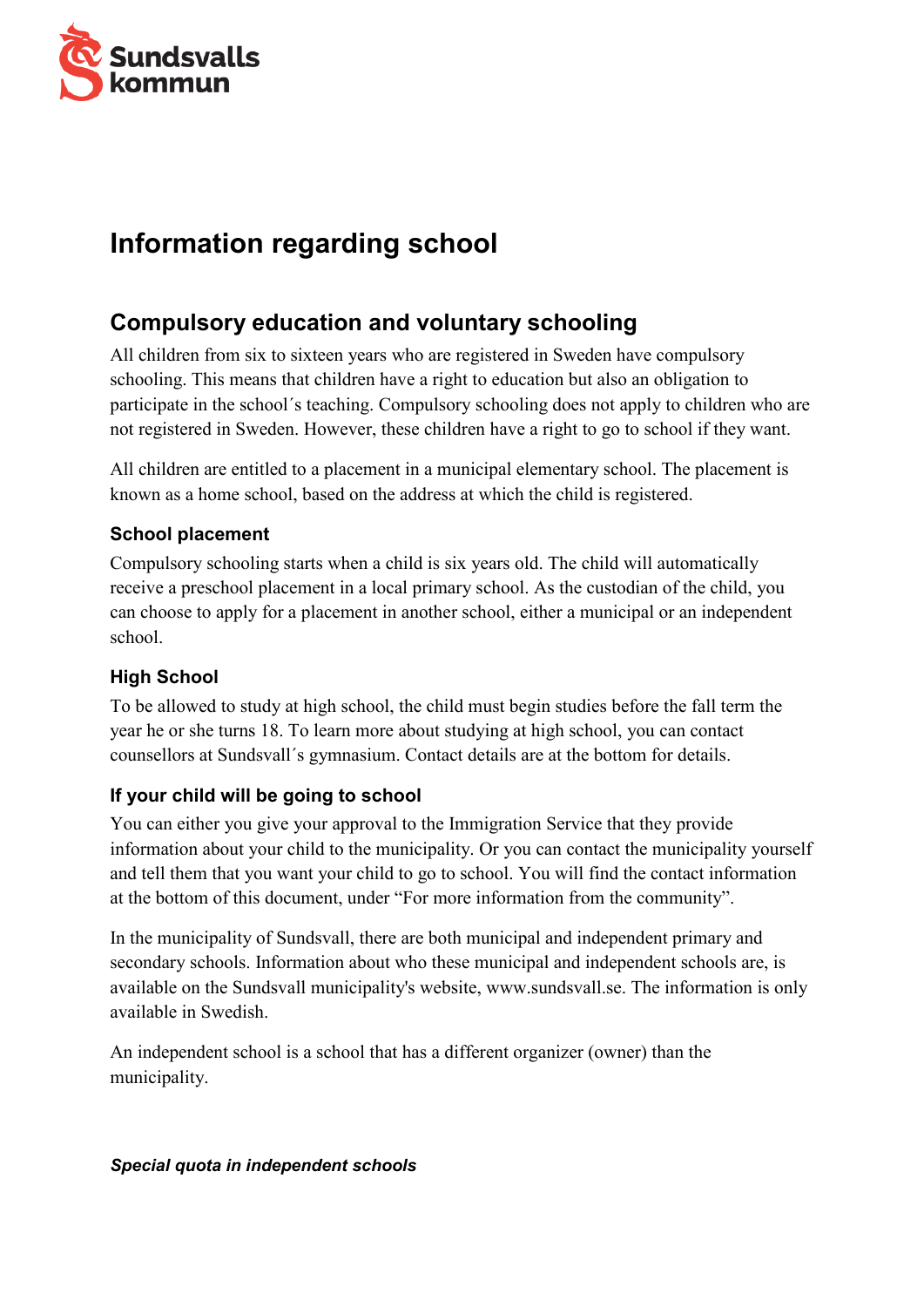

# **Information regarding school**

# **Compulsory education and voluntary schooling**

All children from six to sixteen years who are registered in Sweden have compulsory schooling. This means that children have a right to education but also an obligation to participate in the school´s teaching. Compulsory schooling does not apply to children who are not registered in Sweden. However, these children have a right to go to school if they want.

All children are entitled to a placement in a municipal elementary school. The placement is known as a home school, based on the address at which the child is registered.

#### **School placement**

Compulsory schooling starts when a child is six years old. The child will automatically receive a preschool placement in a local primary school. As the custodian of the child, you can choose to apply for a placement in another school, either a municipal or an independent school.

#### **High School**

To be allowed to study at high school, the child must begin studies before the fall term the year he or she turns 18. To learn more about studying at high school, you can contact counsellors at Sundsvall´s gymnasium. Contact details are at the bottom for details.

#### **If your child will be going to school**

You can either you give your approval to the Immigration Service that they provide information about your child to the municipality. Or you can contact the municipality yourself and tell them that you want your child to go to school. You will find the contact information at the bottom of this document, under "For more information from the community".

In the municipality of Sundsvall, there are both municipal and independent primary and secondary schools. Information about who these municipal and independent schools are, is available on the Sundsvall municipality's website, www.sundsvall.se. The information is only available in Swedish.

An independent school is a school that has a different organizer (owner) than the municipality.

#### *Special quota in independent schools*